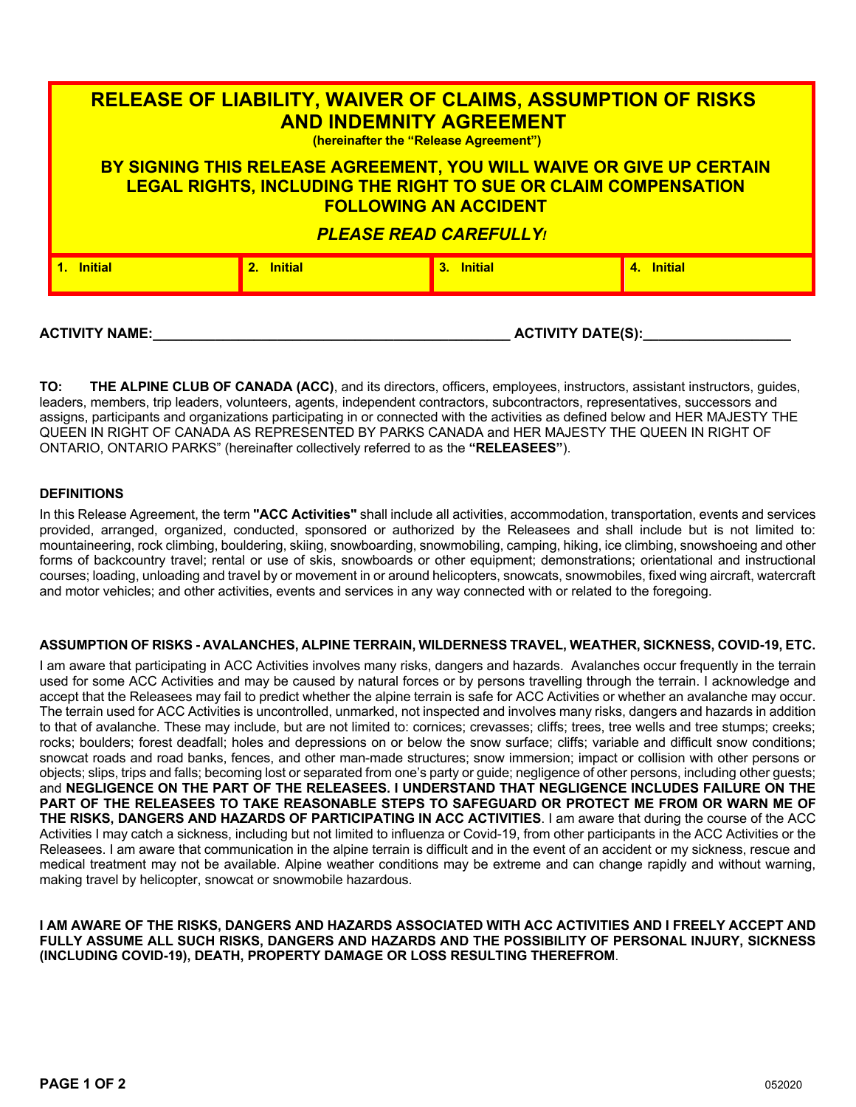| <b>RELEASE OF LIABILITY, WAIVER OF CLAIMS, ASSUMPTION OF RISKS</b><br><b>AND INDEMNITY AGREEMENT</b><br>(hereinafter the "Release Agreement")                                                                  |            |            |            |  |  |
|----------------------------------------------------------------------------------------------------------------------------------------------------------------------------------------------------------------|------------|------------|------------|--|--|
| BY SIGNING THIS RELEASE AGREEMENT, YOU WILL WAIVE OR GIVE UP CERTAIN<br><b>LEGAL RIGHTS, INCLUDING THE RIGHT TO SUE OR CLAIM COMPENSATION</b><br><b>FOLLOWING AN ACCIDENT</b><br><b>PLEASE READ CAREFULLY!</b> |            |            |            |  |  |
| 1. Initial                                                                                                                                                                                                     | 2. Initial | 3. Initial | 4. Initial |  |  |

**ACTIVITY NAME:\_\_\_\_\_\_\_\_\_\_\_\_\_\_\_\_\_\_\_\_\_\_\_\_\_\_\_\_\_\_\_\_\_\_\_\_\_\_\_\_\_\_\_\_\_\_ ACTIVITY DATE(S):\_\_\_\_\_\_\_\_\_\_\_\_\_\_\_\_\_\_\_**

**TO: THE ALPINE CLUB OF CANADA (ACC)**, and its directors, officers, employees, instructors, assistant instructors, guides, leaders, members, trip leaders, volunteers, agents, independent contractors, subcontractors, representatives, successors and assigns, participants and organizations participating in or connected with the activities as defined below and HER MAJESTY THE QUEEN IN RIGHT OF CANADA AS REPRESENTED BY PARKS CANADA and HER MAJESTY THE QUEEN IN RIGHT OF ONTARIO, ONTARIO PARKS" (hereinafter collectively referred to as the **"RELEASEES"**).

### **DEFINITIONS**

In this Release Agreement, the term **"ACC Activities"** shall include all activities, accommodation, transportation, events and services provided, arranged, organized, conducted, sponsored or authorized by the Releasees and shall include but is not limited to: mountaineering, rock climbing, bouldering, skiing, snowboarding, snowmobiling, camping, hiking, ice climbing, snowshoeing and other forms of backcountry travel; rental or use of skis, snowboards or other equipment; demonstrations; orientational and instructional courses; loading, unloading and travel by or movement in or around helicopters, snowcats, snowmobiles, fixed wing aircraft, watercraft and motor vehicles; and other activities, events and services in any way connected with or related to the foregoing.

# **ASSUMPTION OF RISKS - AVALANCHES, ALPINE TERRAIN, WILDERNESS TRAVEL, WEATHER, SICKNESS, COVID-19, ETC.**

I am aware that participating in ACC Activities involves many risks, dangers and hazards. Avalanches occur frequently in the terrain used for some ACC Activities and may be caused by natural forces or by persons travelling through the terrain. I acknowledge and accept that the Releasees may fail to predict whether the alpine terrain is safe for ACC Activities or whether an avalanche may occur. The terrain used for ACC Activities is uncontrolled, unmarked, not inspected and involves many risks, dangers and hazards in addition to that of avalanche. These may include, but are not limited to: cornices; crevasses; cliffs; trees, tree wells and tree stumps; creeks; rocks; boulders; forest deadfall; holes and depressions on or below the snow surface; cliffs; variable and difficult snow conditions; snowcat roads and road banks, fences, and other man-made structures; snow immersion; impact or collision with other persons or objects; slips, trips and falls; becoming lost or separated from one's party or guide; negligence of other persons, including other guests; and **NEGLIGENCE ON THE PART OF THE RELEASEES. I UNDERSTAND THAT NEGLIGENCE INCLUDES FAILURE ON THE PART OF THE RELEASEES TO TAKE REASONABLE STEPS TO SAFEGUARD OR PROTECT ME FROM OR WARN ME OF THE RISKS, DANGERS AND HAZARDS OF PARTICIPATING IN ACC ACTIVITIES**. I am aware that during the course of the ACC Activities I may catch a sickness, including but not limited to influenza or Covid-19, from other participants in the ACC Activities or the Releasees. I am aware that communication in the alpine terrain is difficult and in the event of an accident or my sickness, rescue and medical treatment may not be available. Alpine weather conditions may be extreme and can change rapidly and without warning, making travel by helicopter, snowcat or snowmobile hazardous.

**I AM AWARE OF THE RISKS, DANGERS AND HAZARDS ASSOCIATED WITH ACC ACTIVITIES AND I FREELY ACCEPT AND FULLY ASSUME ALL SUCH RISKS, DANGERS AND HAZARDS AND THE POSSIBILITY OF PERSONAL INJURY, SICKNESS (INCLUDING COVID-19), DEATH, PROPERTY DAMAGE OR LOSS RESULTING THEREFROM**.